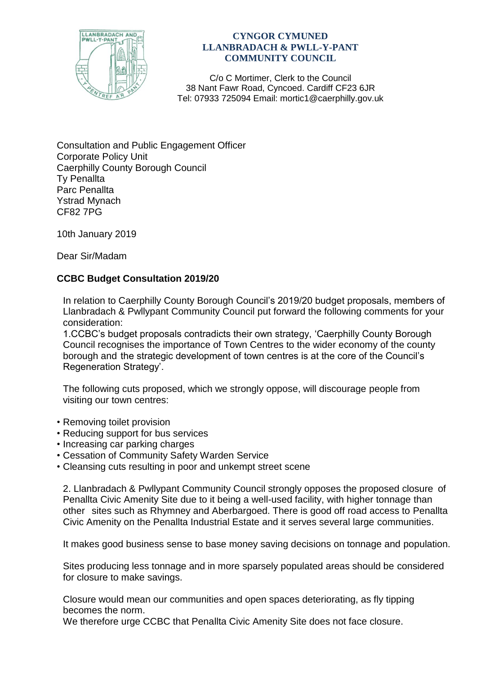

## **CYNGOR CYMUNED LLANBRADACH & PWLL-Y-PANT COMMUNITY COUNCIL**

C/o C Mortimer, Clerk to the Council 38 Nant Fawr Road, Cyncoed. Cardiff CF23 6JR Tel: 07933 725094 Email: mortic1@caerphilly.gov.uk

Consultation and Public Engagement Officer Corporate Policy Unit Caerphilly County Borough Council Ty Penallta Parc Penallta Ystrad Mynach CF82 7PG

10th January 2019

Dear Sir/Madam

## **CCBC Budget Consultation 2019/20**

In relation to Caerphilly County Borough Council's 2019/20 budget proposals, members of Llanbradach & Pwllypant Community Council put forward the following comments for your consideration:

1.CCBC's budget proposals contradicts their own strategy, 'Caerphilly County Borough Council recognises the importance of Town Centres to the wider economy of the county borough and the strategic development of town centres is at the core of the Council's Regeneration Strategy'.

The following cuts proposed, which we strongly oppose, will discourage people from visiting our town centres:

- Removing toilet provision
- Reducing support for bus services
- Increasing car parking charges
- Cessation of Community Safety Warden Service
- Cleansing cuts resulting in poor and unkempt street scene

2. Llanbradach & Pwllypant Community Council strongly opposes the proposed closure of Penallta Civic Amenity Site due to it being a well-used facility, with higher tonnage than other sites such as Rhymney and Aberbargoed. There is good off road access to Penallta Civic Amenity on the Penallta Industrial Estate and it serves several large communities.

It makes good business sense to base money saving decisions on tonnage and population.

Sites producing less tonnage and in more sparsely populated areas should be considered for closure to make savings.

Closure would mean our communities and open spaces deteriorating, as fly tipping becomes the norm.

We therefore urge CCBC that Penallta Civic Amenity Site does not face closure.